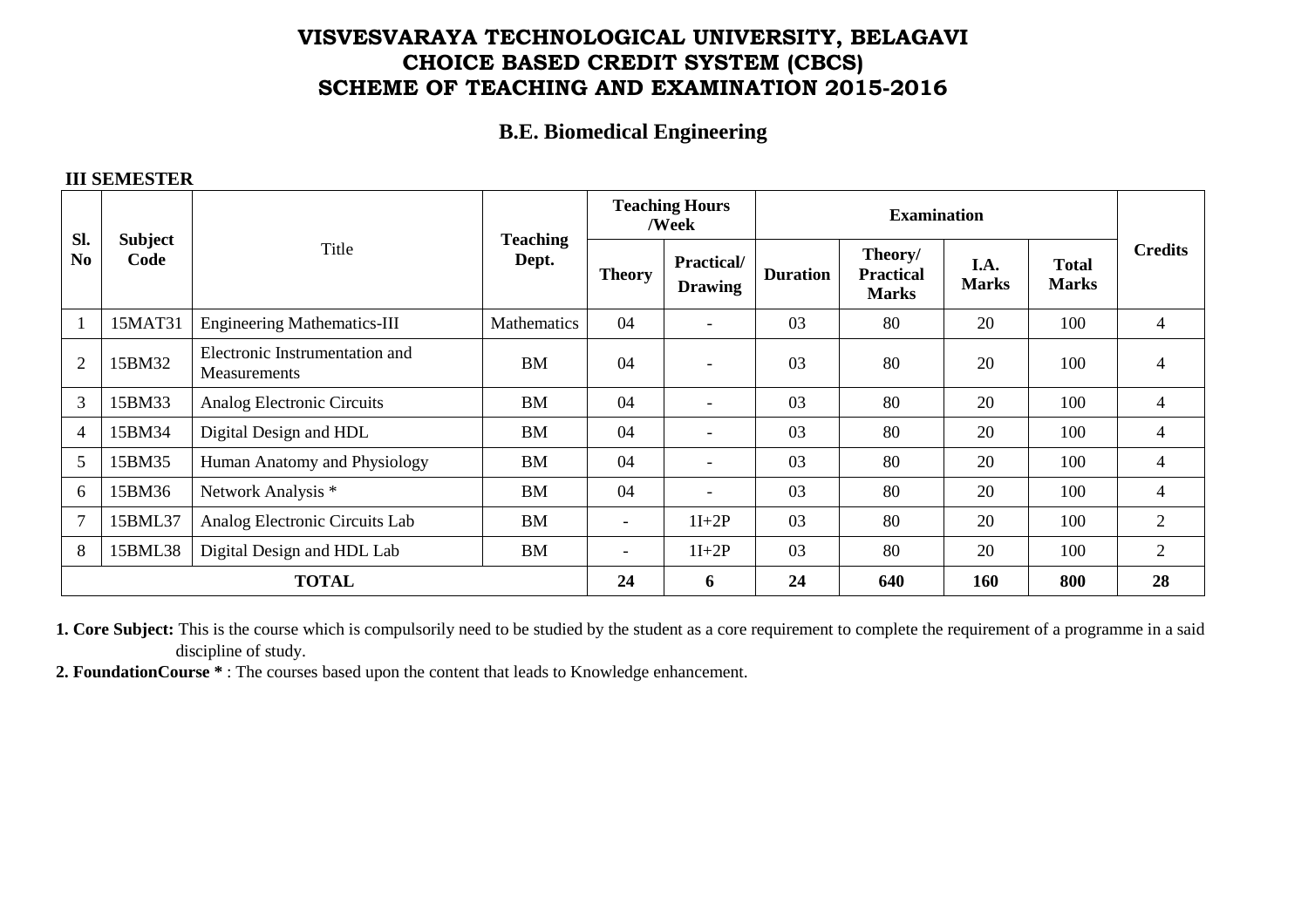# **VISVESVARAYA TECHNOLOGICAL UNIVERSITY, BELAGAVI CHOICE BASED CREDIT SYSTEM (CBCS) SCHEME OF TEACHING AND EXAMINATION 2015-2016**

### **B.E. Biomedical Engineering**

#### **III SEMESTER**

| SI.<br>N <sub>0</sub> | Subject<br>Code | Title                                          | <b>Teaching</b><br>Dept. | <b>Teaching Hours</b><br>/Week |                                     | <b>Examination</b> |                                             |                      |                              |                |
|-----------------------|-----------------|------------------------------------------------|--------------------------|--------------------------------|-------------------------------------|--------------------|---------------------------------------------|----------------------|------------------------------|----------------|
|                       |                 |                                                |                          | <b>Theory</b>                  | <b>Practical/</b><br><b>Drawing</b> | <b>Duration</b>    | Theory/<br><b>Practical</b><br><b>Marks</b> | I.A.<br><b>Marks</b> | <b>Total</b><br><b>Marks</b> | <b>Credits</b> |
| $\mathbf{1}$          | 15MAT31         | <b>Engineering Mathematics-III</b>             | Mathematics              | 04                             | $-$                                 | 03                 | 80                                          | 20                   | 100                          | $\overline{4}$ |
| $\overline{2}$        | 15BM32          | Electronic Instrumentation and<br>Measurements | <b>BM</b>                | 04                             | $\overline{\phantom{a}}$            | 03                 | 80                                          | 20                   | 100                          | 4              |
| 3                     | 15BM33          | Analog Electronic Circuits                     | <b>BM</b>                | 04                             | $\overline{\phantom{a}}$            | 03                 | 80                                          | 20                   | 100                          | 4              |
| $\overline{4}$        | 15BM34          | Digital Design and HDL                         | <b>BM</b>                | 04                             | $\overline{\phantom{a}}$            | 03                 | 80                                          | 20                   | 100                          | 4              |
| 5                     | 15BM35          | Human Anatomy and Physiology                   | <b>BM</b>                | 04                             | $\overline{\phantom{a}}$            | 03                 | 80                                          | 20                   | 100                          | 4              |
| 6                     | 15BM36          | Network Analysis *                             | <b>BM</b>                | 04                             | $\overline{\phantom{a}}$            | 03                 | 80                                          | 20                   | 100                          | 4              |
| $7\phantom{.0}$       | 15BML37         | Analog Electronic Circuits Lab                 | <b>BM</b>                | $\overline{\phantom{a}}$       | $1I+2P$                             | 03                 | 80                                          | 20                   | 100                          | $\overline{2}$ |
| 8                     | 15BML38         | Digital Design and HDL Lab                     | <b>BM</b>                | $\overline{\phantom{0}}$       | $1I+2P$                             | 03                 | 80                                          | 20                   | 100                          | $\overline{2}$ |
| <b>TOTAL</b>          |                 |                                                |                          | 24                             | 6                                   | 24                 | 640                                         | 160                  | 800                          | 28             |

**1. Core Subject:** This is the course which is compulsorily need to be studied by the student as a core requirement to complete the requirement of a programme in a said discipline of study.

**2. FoundationCourse \*** : The courses based upon the content that leads to Knowledge enhancement.